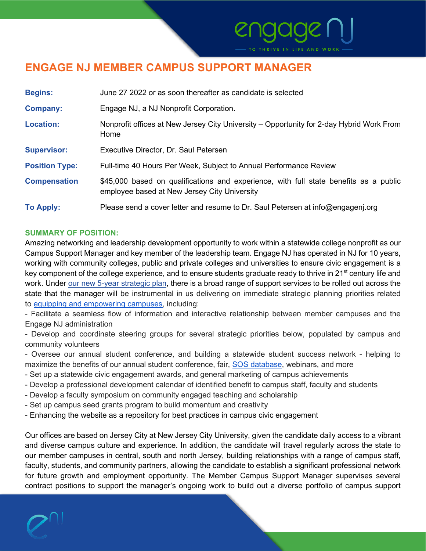# **ENGAGE NJ MEMBER CAMPUS SUPPORT MANAGER**

| <b>Begins:</b>        | June 27 2022 or as soon thereafter as candidate is selected                                                                           |
|-----------------------|---------------------------------------------------------------------------------------------------------------------------------------|
| <b>Company:</b>       | Engage NJ, a NJ Nonprofit Corporation.                                                                                                |
| <b>Location:</b>      | Nonprofit offices at New Jersey City University - Opportunity for 2-day Hybrid Work From<br>Home                                      |
| <b>Supervisor:</b>    | Executive Director, Dr. Saul Petersen                                                                                                 |
| <b>Position Type:</b> | Full-time 40 Hours Per Week, Subject to Annual Performance Review                                                                     |
| <b>Compensation</b>   | \$45,000 based on qualifications and experience, with full state benefits as a public<br>employee based at New Jersey City University |
| <b>To Apply:</b>      | Please send a cover letter and resume to Dr. Saul Petersen at info@engagenj.org                                                       |

### **SUMMARY OF POSITION:**

Amazing networking and leadership development opportunity to work within a statewide college nonprofit as our Campus Support Manager and key member of the leadership team. Engage NJ has operated in NJ for 10 years, working with community colleges, public and private colleges and universities to ensure civic engagement is a key component of the college experience, and to ensure students graduate ready to thrive in 21<sup>st</sup> century life and work. Under [our new 5-year](https://www.engagenj.org/_files/ugd/4a507c_66251a5422a9469c90027d977ff26f90.pdf) strategic plan, there is a broad range of support services to be rolled out across the state that the manager will be instrumental in us delivering on immediate strategic planning priorities related to [equipping and empowering campuses,](https://www.engagenj.org/goal1-intro) including:

- Facilitate a seamless flow of information and interactive relationship between member campuses and the Engage NJ administration

- Develop and coordinate steering groups for several strategic priorities below, populated by campus and community volunteers

- Oversee our annual student conference, and building a statewide student success network - helping to maximize the benefits of our annual student conference, fair, [SOS database,](https://www.engagenj.org/grants) webinars, and more

- Set up a statewide civic engagement awards, and general marketing of campus achievements
- Develop a professional development calendar of identified benefit to campus staff, faculty and students
- Develop a faculty symposium on community engaged teaching and scholarship
- Set up campus seed grants program to build momentum and creativity
- Enhancing the website as a repository for best practices in campus civic engagement

Our offices are based on Jersey City at New Jersey City University, given the candidate daily access to a vibrant and diverse campus culture and experience. In addition, the candidate will travel regularly across the state to our member campuses in central, south and north Jersey, building relationships with a range of campus staff, faculty, students, and community partners, allowing the candidate to establish a significant professional network for future growth and employment opportunity. The Member Campus Support Manager supervises several contract positions to support the manager's ongoing work to build out a diverse portfolio of campus support

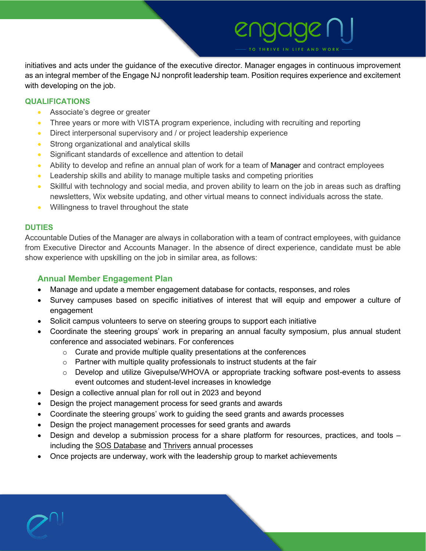initiatives and acts under the guidance of the executive director. Manager engages in continuous improvement as an integral member of the Engage NJ nonprofit leadership team. Position requires experience and excitement with developing on the job.

### **QUALIFICATIONS**

- Associate's degree or greater
- Three years or more with VISTA program experience, including with recruiting and reporting
- Direct interpersonal supervisory and / or project leadership experience
- Strong organizational and analytical skills
- Significant standards of excellence and attention to detail
- Ability to develop and refine an annual plan of work for a team of Manager and contract employees
- Leadership skills and ability to manage multiple tasks and competing priorities
- Skillful with technology and social media, and proven ability to learn on the job in areas such as drafting newsletters, Wix website updating, and other virtual means to connect individuals across the state.
- Willingness to travel throughout the state

# **DUTIES**

Accountable Duties of the Manager are always in collaboration with a team of contract employees, with guidance from Executive Director and Accounts Manager. In the absence of direct experience, candidate must be able show experience with upskilling on the job in similar area, as follows:

# **Annual Member Engagement Plan**

- Manage and update a member engagement database for contacts, responses, and roles
- Survey campuses based on specific initiatives of interest that will equip and empower a culture of engagement
- Solicit campus volunteers to serve on steering groups to support each initiative
- Coordinate the steering groups' work in preparing an annual faculty symposium, plus annual student conference and associated webinars. For conferences
	- $\circ$  Curate and provide multiple quality presentations at the conferences
	- $\circ$  Partner with multiple quality professionals to instruct students at the fair
	- o Develop and utilize Givepulse/WHOVA or appropriate tracking software post-events to assess event outcomes and student-level increases in knowledge
- Design a collective annual plan for roll out in 2023 and beyond
- Design the project management process for seed grants and awards
- Coordinate the steering groups' work to guiding the seed grants and awards processes
- Design the project management processes for seed grants and awards
- Design and develop a submission process for a share platform for resources, practices, and tools including the [SOS Database](https://www.engagenj.org/grants) and [Thrivers](https://www.engagenj.org/thrive) annual processes
- Once projects are underway, work with the leadership group to market achievements